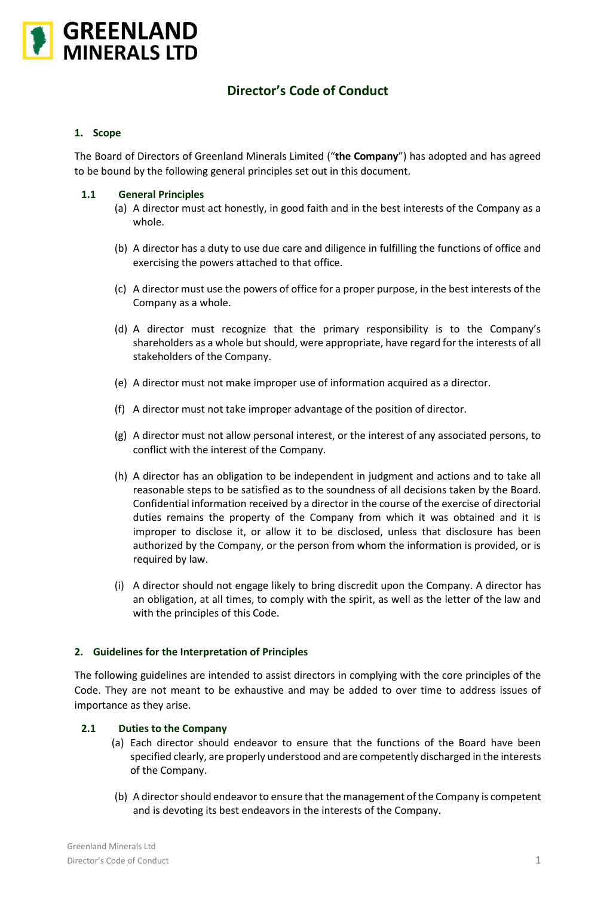

# **Director's Code of Conduct**

## **1. Scope**

The Board of Directors of Greenland Minerals Limited ("**the Company**") has adopted and has agreed to be bound by the following general principles set out in this document.

## **1.1 General Principles**

- (a) A director must act honestly, in good faith and in the best interests of the Company as a whole.
- (b) A director has a duty to use due care and diligence in fulfilling the functions of office and exercising the powers attached to that office.
- (c) A director must use the powers of office for a proper purpose, in the best interests of the Company as a whole.
- (d) A director must recognize that the primary responsibility is to the Company's shareholders as a whole but should, were appropriate, have regard for the interests of all stakeholders of the Company.
- (e) A director must not make improper use of information acquired as a director.
- (f) A director must not take improper advantage of the position of director.
- (g) A director must not allow personal interest, or the interest of any associated persons, to conflict with the interest of the Company.
- (h) A director has an obligation to be independent in judgment and actions and to take all reasonable steps to be satisfied as to the soundness of all decisions taken by the Board. Confidential information received by a director in the course of the exercise of directorial duties remains the property of the Company from which it was obtained and it is improper to disclose it, or allow it to be disclosed, unless that disclosure has been authorized by the Company, or the person from whom the information is provided, or is required by law.
- (i) A director should not engage likely to bring discredit upon the Company. A director has an obligation, at all times, to comply with the spirit, as well as the letter of the law and with the principles of this Code.

# **2. Guidelines for the Interpretation of Principles**

The following guidelines are intended to assist directors in complying with the core principles of the Code. They are not meant to be exhaustive and may be added to over time to address issues of importance as they arise.

# **2.1 Duties to the Company**

- (a) Each director should endeavor to ensure that the functions of the Board have been specified clearly, are properly understood and are competently discharged in the interests of the Company.
- (b) A director should endeavor to ensure that the management of the Company is competent and is devoting its best endeavors in the interests of the Company.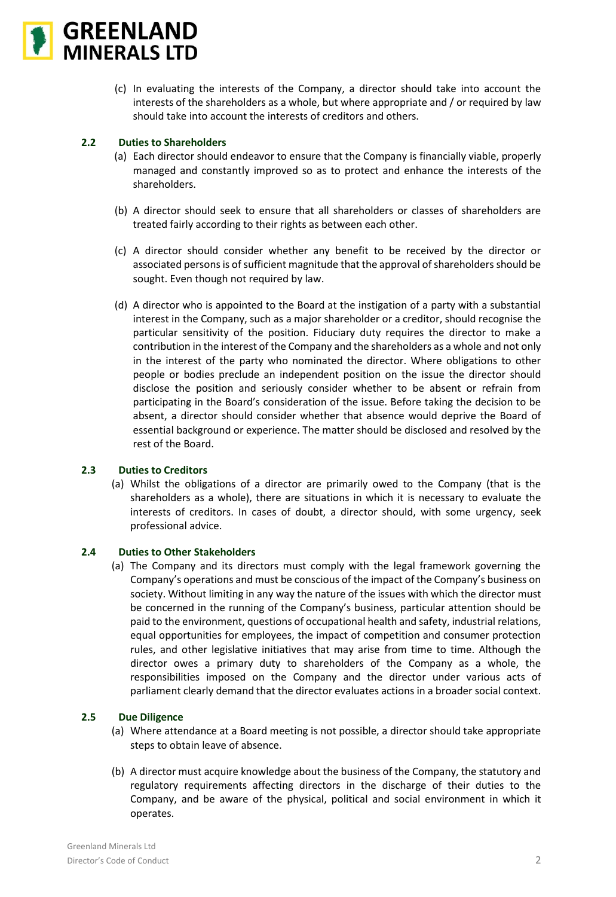

(c) In evaluating the interests of the Company, a director should take into account the interests of the shareholders as a whole, but where appropriate and / or required by law should take into account the interests of creditors and others.

# **2.2 Duties to Shareholders**

- (a) Each director should endeavor to ensure that the Company is financially viable, properly managed and constantly improved so as to protect and enhance the interests of the shareholders.
- (b) A director should seek to ensure that all shareholders or classes of shareholders are treated fairly according to their rights as between each other.
- (c) A director should consider whether any benefit to be received by the director or associated persons is of sufficient magnitude that the approval of shareholders should be sought. Even though not required by law.
- (d) A director who is appointed to the Board at the instigation of a party with a substantial interest in the Company, such as a major shareholder or a creditor, should recognise the particular sensitivity of the position. Fiduciary duty requires the director to make a contribution in the interest of the Company and the shareholders as a whole and not only in the interest of the party who nominated the director. Where obligations to other people or bodies preclude an independent position on the issue the director should disclose the position and seriously consider whether to be absent or refrain from participating in the Board's consideration of the issue. Before taking the decision to be absent, a director should consider whether that absence would deprive the Board of essential background or experience. The matter should be disclosed and resolved by the rest of the Board.

#### **2.3 Duties to Creditors**

(a) Whilst the obligations of a director are primarily owed to the Company (that is the shareholders as a whole), there are situations in which it is necessary to evaluate the interests of creditors. In cases of doubt, a director should, with some urgency, seek professional advice.

#### **2.4 Duties to Other Stakeholders**

(a) The Company and its directors must comply with the legal framework governing the Company's operations and must be conscious of the impact of the Company's business on society. Without limiting in any way the nature of the issues with which the director must be concerned in the running of the Company's business, particular attention should be paid to the environment, questions of occupational health and safety, industrial relations, equal opportunities for employees, the impact of competition and consumer protection rules, and other legislative initiatives that may arise from time to time. Although the director owes a primary duty to shareholders of the Company as a whole, the responsibilities imposed on the Company and the director under various acts of parliament clearly demand that the director evaluates actions in a broader social context.

#### **2.5 Due Diligence**

- (a) Where attendance at a Board meeting is not possible, a director should take appropriate steps to obtain leave of absence.
- (b) A director must acquire knowledge about the business of the Company, the statutory and regulatory requirements affecting directors in the discharge of their duties to the Company, and be aware of the physical, political and social environment in which it operates.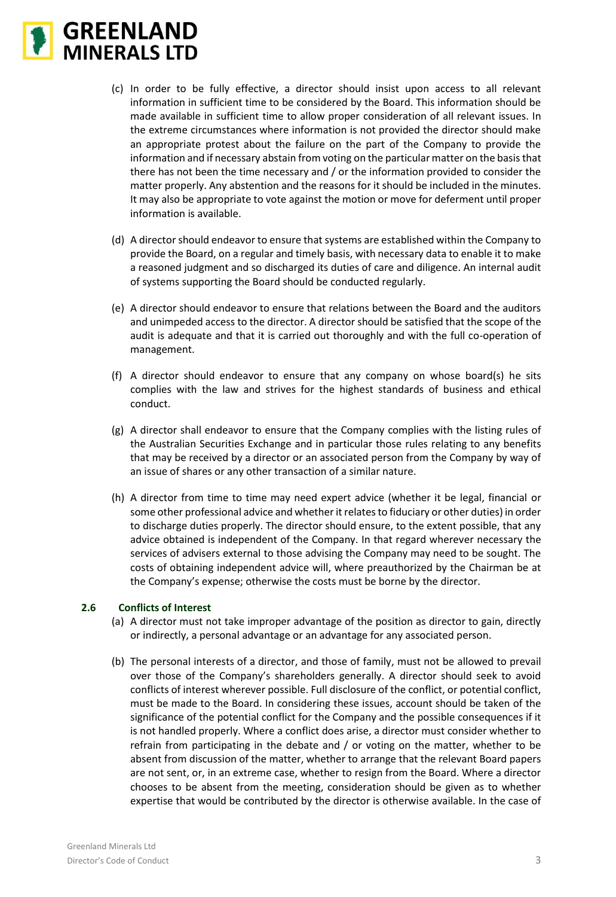

- (c) In order to be fully effective, a director should insist upon access to all relevant information in sufficient time to be considered by the Board. This information should be made available in sufficient time to allow proper consideration of all relevant issues. In the extreme circumstances where information is not provided the director should make an appropriate protest about the failure on the part of the Company to provide the information and if necessary abstain from voting on the particular matter on the basis that there has not been the time necessary and / or the information provided to consider the matter properly. Any abstention and the reasons for it should be included in the minutes. It may also be appropriate to vote against the motion or move for deferment until proper information is available.
- (d) A director should endeavor to ensure that systems are established within the Company to provide the Board, on a regular and timely basis, with necessary data to enable it to make a reasoned judgment and so discharged its duties of care and diligence. An internal audit of systems supporting the Board should be conducted regularly.
- (e) A director should endeavor to ensure that relations between the Board and the auditors and unimpeded access to the director. A director should be satisfied that the scope of the audit is adequate and that it is carried out thoroughly and with the full co-operation of management.
- (f) A director should endeavor to ensure that any company on whose board(s) he sits complies with the law and strives for the highest standards of business and ethical conduct.
- (g) A director shall endeavor to ensure that the Company complies with the listing rules of the Australian Securities Exchange and in particular those rules relating to any benefits that may be received by a director or an associated person from the Company by way of an issue of shares or any other transaction of a similar nature.
- (h) A director from time to time may need expert advice (whether it be legal, financial or some other professional advice and whether it relates to fiduciary or other duties) in order to discharge duties properly. The director should ensure, to the extent possible, that any advice obtained is independent of the Company. In that regard wherever necessary the services of advisers external to those advising the Company may need to be sought. The costs of obtaining independent advice will, where preauthorized by the Chairman be at the Company's expense; otherwise the costs must be borne by the director.

#### **2.6 Conflicts of Interest**

- (a) A director must not take improper advantage of the position as director to gain, directly or indirectly, a personal advantage or an advantage for any associated person.
- (b) The personal interests of a director, and those of family, must not be allowed to prevail over those of the Company's shareholders generally. A director should seek to avoid conflicts of interest wherever possible. Full disclosure of the conflict, or potential conflict, must be made to the Board. In considering these issues, account should be taken of the significance of the potential conflict for the Company and the possible consequences if it is not handled properly. Where a conflict does arise, a director must consider whether to refrain from participating in the debate and / or voting on the matter, whether to be absent from discussion of the matter, whether to arrange that the relevant Board papers are not sent, or, in an extreme case, whether to resign from the Board. Where a director chooses to be absent from the meeting, consideration should be given as to whether expertise that would be contributed by the director is otherwise available. In the case of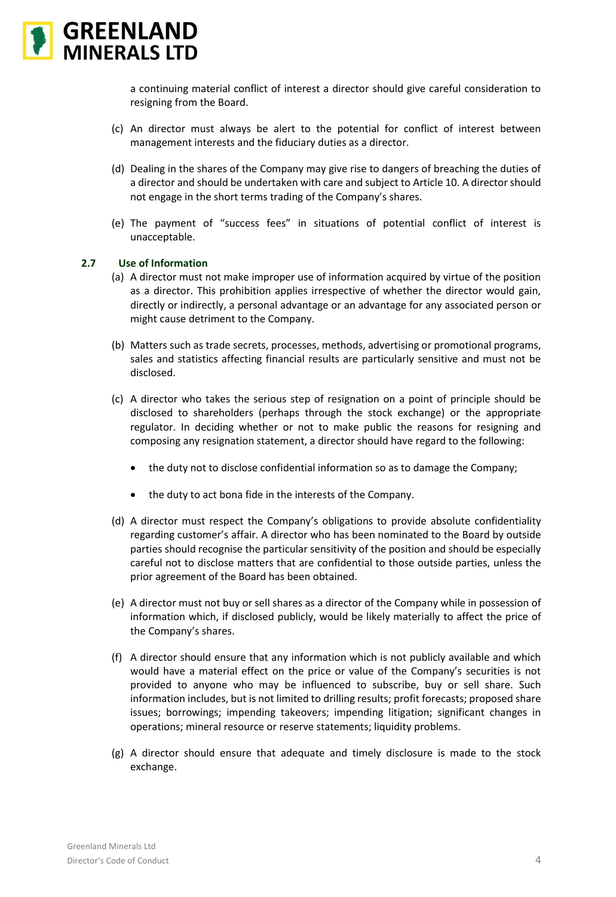

a continuing material conflict of interest a director should give careful consideration to resigning from the Board.

- (c) An director must always be alert to the potential for conflict of interest between management interests and the fiduciary duties as a director.
- (d) Dealing in the shares of the Company may give rise to dangers of breaching the duties of a director and should be undertaken with care and subject to Article 10. A director should not engage in the short terms trading of the Company's shares.
- (e) The payment of "success fees" in situations of potential conflict of interest is unacceptable.

## **2.7 Use of Information**

- (a) A director must not make improper use of information acquired by virtue of the position as a director. This prohibition applies irrespective of whether the director would gain, directly or indirectly, a personal advantage or an advantage for any associated person or might cause detriment to the Company.
- (b) Matters such as trade secrets, processes, methods, advertising or promotional programs, sales and statistics affecting financial results are particularly sensitive and must not be disclosed.
- (c) A director who takes the serious step of resignation on a point of principle should be disclosed to shareholders (perhaps through the stock exchange) or the appropriate regulator. In deciding whether or not to make public the reasons for resigning and composing any resignation statement, a director should have regard to the following:
	- the duty not to disclose confidential information so as to damage the Company;
	- the duty to act bona fide in the interests of the Company.
- (d) A director must respect the Company's obligations to provide absolute confidentiality regarding customer's affair. A director who has been nominated to the Board by outside parties should recognise the particular sensitivity of the position and should be especially careful not to disclose matters that are confidential to those outside parties, unless the prior agreement of the Board has been obtained.
- (e) A director must not buy or sell shares as a director of the Company while in possession of information which, if disclosed publicly, would be likely materially to affect the price of the Company's shares.
- (f) A director should ensure that any information which is not publicly available and which would have a material effect on the price or value of the Company's securities is not provided to anyone who may be influenced to subscribe, buy or sell share. Such information includes, but is not limited to drilling results; profit forecasts; proposed share issues; borrowings; impending takeovers; impending litigation; significant changes in operations; mineral resource or reserve statements; liquidity problems.
- (g) A director should ensure that adequate and timely disclosure is made to the stock exchange.